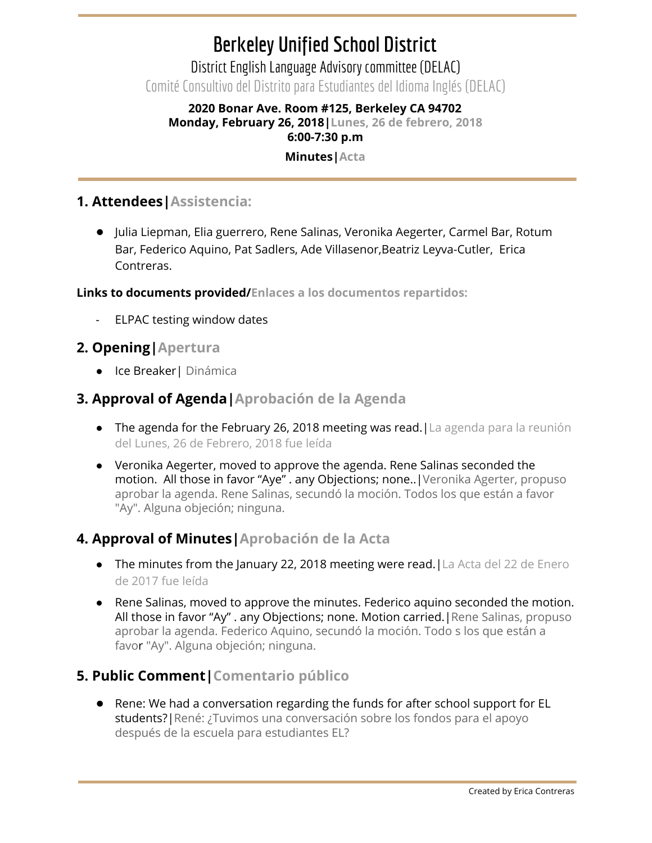# **Berkeley Unified School District**

District English Language Advisory committee (DELAC) Comité Consultivo del Distrito para Estudiantes del Idioma Inglés (DELAC)

### **2020 Bonar Ave. Room #125, Berkeley CA 94702 Monday, February 26, 2018|Lunes, 26 de febrero, 2018 6:00-7:30 p.m**

#### **Minutes|Acta**

### **1. Attendees|Assistencia:**

● Julia Liepman, Elia guerrero, Rene Salinas, Veronika Aegerter, Carmel Bar, Rotum Bar, Federico Aquino, Pat Sadlers, Ade Villasenor,Beatriz Leyva-Cutler, Erica Contreras.

**Links to documents provided/Enlaces a los documentos repartidos:**

ELPAC testing window dates

### **2. Opening|Apertura**

● Ice Breaker| Dinámica

### **3. Approval of Agenda|Aprobación de la Agenda**

- The agenda for the February 26, 2018 meeting was read. | La agenda para la reunión del Lunes, 26 de Febrero, 2018 fue leída
- Veronika Aegerter, moved to approve the agenda. Rene Salinas seconded the motion. All those in favor "Aye" . any Objections; none..|Veronika Agerter, propuso aprobar la agenda. Rene Salinas, secundó la moción. Todos los que están a favor "Ay". Alguna objeción; ninguna.

### **4. Approval of Minutes|Aprobación de la Acta**

- The minutes from the January 22, 2018 meeting were read.  $|$  La Acta del 22 de Enero de 2017 fue leída
- **●** Rene Salinas, moved to approve the minutes. Federico aquino seconded the motion. All those in favor "Ay" . any Objections; none. Motion carried.|Rene Salinas, propuso aprobar la agenda. Federico Aquino, secundó la moción. Todo s los que están a favor "Ay". Alguna objeción; ninguna.

### **5. Public Comment|Comentario público**

● Rene: We had a conversation regarding the funds for after school support for EL students?|René: ¿Tuvimos una conversación sobre los fondos para el apoyo después de la escuela para estudiantes EL?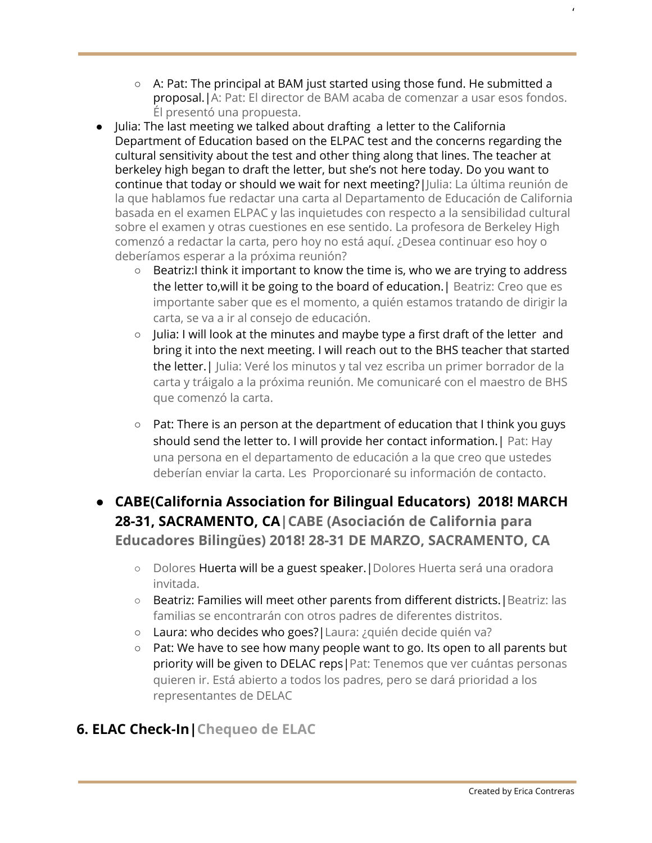- A: Pat: The principal at BAM just started using those fund. He submitted a proposal.|A: Pat: El director de BAM acaba de comenzar a usar esos fondos. Él presentó una propuesta.
- Julia: The last meeting we talked about drafting a letter to the California Department of Education based on the ELPAC test and the concerns regarding the cultural sensitivity about the test and other thing along that lines. The teacher at berkeley high began to draft the letter, but she's not here today. Do you want to continue that today or should we wait for next meeting? | Julia: La última reunión de la que hablamos fue redactar una carta al Departamento de Educación de California basada en el examen ELPAC y las inquietudes con respecto a la sensibilidad cultural sobre el examen y otras cuestiones en ese sentido. La profesora de Berkeley High comenzó a redactar la carta, pero hoy no está aquí. ¿Desea continuar eso hoy o deberíamos esperar a la próxima reunión?
	- Beatriz:I think it important to know the time is, who we are trying to address the letter to,will it be going to the board of education.| Beatriz: Creo que es importante saber que es el momento, a quién estamos tratando de dirigir la carta, se va a ir al consejo de educación.
	- Julia: I will look at the minutes and maybe type a first draft of the letter and bring it into the next meeting. I will reach out to the BHS teacher that started the letter.| Julia: Veré los minutos y tal vez escriba un primer borrador de la carta y tráigalo a la próxima reunión. Me comunicaré con el maestro de BHS que comenzó la carta.
	- Pat: There is an person at the department of education that I think you guys should send the letter to. I will provide her contact information.| Pat: Hay una persona en el departamento de educación a la que creo que ustedes deberían enviar la carta. Les Proporcionaré su información de contacto.
- **CABE(California Association for Bilingual Educators) 2018! MARCH 28-31, SACRAMENTO, CA|CABE (Asociación de California para Educadores Bilingües) 2018! 28-31 DE MARZO, SACRAMENTO, CA**
	- **○** Dolores Huerta will be a guest speaker.|Dolores Huerta será una oradora invitada.
	- **○** Beatriz: Families will meet other parents from different districts.|Beatriz: las familias se encontrarán con otros padres de diferentes distritos.
	- Laura: who decides who goes?|Laura: ¿quién decide quién va?
	- Pat: We have to see how many people want to go. Its open to all parents but priority will be given to DELAC reps|Pat: Tenemos que ver cuántas personas quieren ir. Está abierto a todos los padres, pero se dará prioridad a los representantes de DELAC

# **6. ELAC Check-In|Chequeo de ELAC**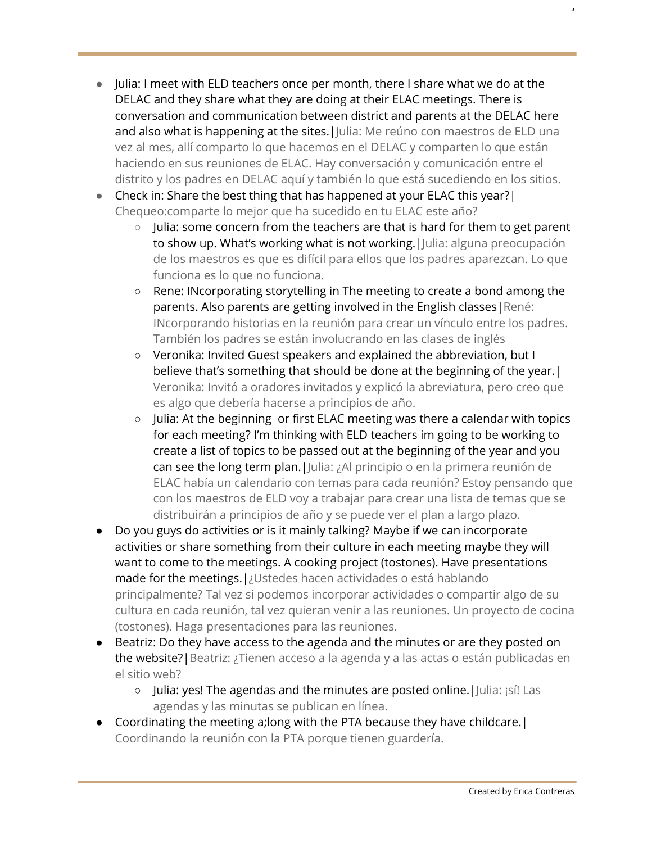- Julia: I meet with ELD teachers once per month, there I share what we do at the DELAC and they share what they are doing at their ELAC meetings. There is conversation and communication between district and parents at the DELAC here and also what is happening at the sites. | Julia: Me reúno con maestros de ELD una vez al mes, allí comparto lo que hacemos en el DELAC y comparten lo que están haciendo en sus reuniones de ELAC. Hay conversación y comunicación entre el distrito y los padres en DELAC aquí y también lo que está sucediendo en los sitios.
- Check in: Share the best thing that has happened at your ELAC this year?| Chequeo:comparte lo mejor que ha sucedido en tu ELAC este año?
	- Julia: some concern from the teachers are that is hard for them to get parent to show up. What's working what is not working.|Julia: alguna preocupación de los maestros es que es difícil para ellos que los padres aparezcan. Lo que funciona es lo que no funciona.
	- Rene: INcorporating storytelling in The meeting to create a bond among the parents. Also parents are getting involved in the English classes|René: INcorporando historias en la reunión para crear un vínculo entre los padres. También los padres se están involucrando en las clases de inglés
	- Veronika: Invited Guest speakers and explained the abbreviation, but I believe that's something that should be done at the beginning of the year.| Veronika: Invitó a oradores invitados y explicó la abreviatura, pero creo que es algo que debería hacerse a principios de año.
	- Julia: At the beginning or first ELAC meeting was there a calendar with topics for each meeting? I'm thinking with ELD teachers im going to be working to create a list of topics to be passed out at the beginning of the year and you can see the long term plan.|Julia: ¿Al principio o en la primera reunión de ELAC había un calendario con temas para cada reunión? Estoy pensando que con los maestros de ELD voy a trabajar para crear una lista de temas que se distribuirán a principios de año y se puede ver el plan a largo plazo.
- Do you guys do activities or is it mainly talking? Maybe if we can incorporate activities or share something from their culture in each meeting maybe they will want to come to the meetings. A cooking project (tostones). Have presentations made for the meetings.|¿Ustedes hacen actividades o está hablando principalmente? Tal vez si podemos incorporar actividades o compartir algo de su cultura en cada reunión, tal vez quieran venir a las reuniones. Un proyecto de cocina (tostones). Haga presentaciones para las reuniones.
- Beatriz: Do they have access to the agenda and the minutes or are they posted on the website?|Beatriz: ¿Tienen acceso a la agenda y a las actas o están publicadas en el sitio web?
	- Julia: yes! The agendas and the minutes are posted online.|Julia: ¡sí! Las agendas y las minutas se publican en línea.
- Coordinating the meeting a;long with the PTA because they have childcare.| Coordinando la reunión con la PTA porque tienen guardería.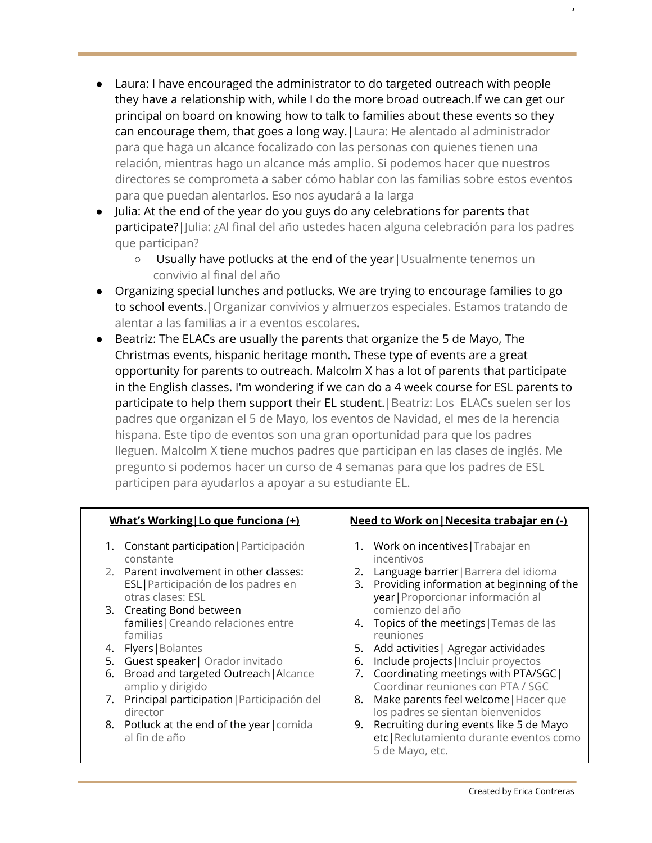- Laura: I have encouraged the administrator to do targeted outreach with people they have a relationship with, while I do the more broad outreach.If we can get our principal on board on knowing how to talk to families about these events so they can encourage them, that goes a long way.|Laura: He alentado al administrador para que haga un alcance focalizado con las personas con quienes tienen una relación, mientras hago un alcance más amplio. Si podemos hacer que nuestros directores se comprometa a saber cómo hablar con las familias sobre estos eventos para que puedan alentarlos. Eso nos ayudará a la larga
- Julia: At the end of the year do you guys do any celebrations for parents that participate?|Julia: ¿Al final del año ustedes hacen alguna celebración para los padres que participan?
	- Usually have potlucks at the end of the year|Usualmente tenemos un convivio al final del año
- Organizing special lunches and potlucks. We are trying to encourage families to go to school events. | Organizar convivios y almuerzos especiales. Estamos tratando de alentar a las familias a ir a eventos escolares.
- Beatriz: The ELACs are usually the parents that organize the 5 de Mayo, The Christmas events, hispanic heritage month. These type of events are a great opportunity for parents to outreach. Malcolm X has a lot of parents that participate in the English classes. I'm wondering if we can do a 4 week course for ESL parents to participate to help them support their EL student. | Beatriz: Los ELACs suelen ser los padres que organizan el 5 de Mayo, los eventos de Navidad, el mes de la herencia hispana. Este tipo de eventos son una gran oportunidad para que los padres lleguen. Malcolm X tiene muchos padres que participan en las clases de inglés. Me pregunto si podemos hacer un curso de 4 semanas para que los padres de ESL participen para ayudarlos a apoyar a su estudiante EL.

#### **What's Working|Lo que funciona (+)**

- 1. Constant participation|Participación constante
- 2. Parent involvement in other classes: ESL|Participación de los padres en otras clases: ESL
- 3. Creating Bond between families|Creando relaciones entre familias
- 4. Flyers|Bolantes
- 5. Guest speaker| Orador invitado
- 6. Broad and targeted Outreach|Alcance amplio y dirigido
- 7. Principal participation|Participación del director
- 8. Potluck at the end of the year | comida al fin de año

#### **Need to Work on|Necesita trabajar en (-)**

- 1. Work on incentives|Trabajar en incentivos
- 2. Language barrier | Barrera del idioma
- 3. Providing information at beginning of the year|Proporcionar información al comienzo del año
- 4. Topics of the meetings | Temas de las reuniones
- 5. Add activities| Agregar actividades
- 6. Include projects|Incluir proyectos
- 7. Coordinating meetings with PTA/SGC| Coordinar reuniones con PTA / SGC
- 8. Make parents feel welcome | Hacer que los padres se sientan bienvenidos
- 9. Recruiting during events like 5 de Mayo etc|Reclutamiento durante eventos como 5 de Mayo, etc.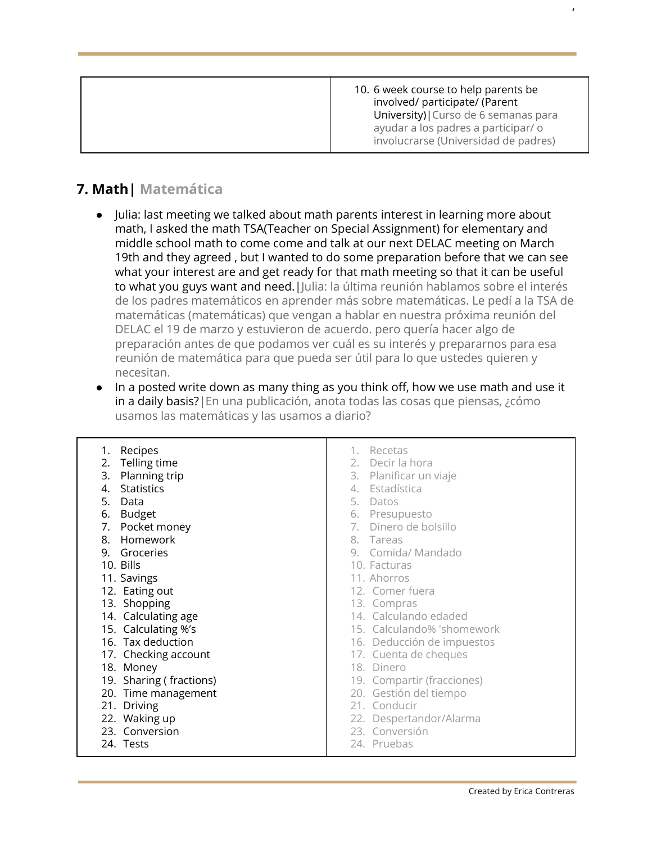|  | 10. 6 week course to help parents be<br>involved/ participate/ (Parent<br>University) Curso de 6 semanas para<br>ayudar a los padres a participar/ o<br>involucrarse (Universidad de padres) |
|--|----------------------------------------------------------------------------------------------------------------------------------------------------------------------------------------------|
|--|----------------------------------------------------------------------------------------------------------------------------------------------------------------------------------------------|

### **7. Math| Matemática**

- Julia: last meeting we talked about math parents interest in learning more about math, I asked the math TSA(Teacher on Special Assignment) for elementary and middle school math to come come and talk at our next DELAC meeting on March 19th and they agreed , but I wanted to do some preparation before that we can see what your interest are and get ready for that math meeting so that it can be useful to what you guys want and need. | Julia: la última reunión hablamos sobre el interés de los padres matemáticos en aprender más sobre matemáticas. Le pedí a la TSA de matemáticas (matemáticas) que vengan a hablar en nuestra próxima reunión del DELAC el 19 de marzo y estuvieron de acuerdo. pero quería hacer algo de preparación antes de que podamos ver cuál es su interés y prepararnos para esa reunión de matemática para que pueda ser útil para lo que ustedes quieren y necesitan.
- In a posted write down as many thing as you think off, how we use math and use it in a daily basis?|En una publicación, anota todas las cosas que piensas, ¿cómo usamos las matemáticas y las usamos a diario?

| 1. Recipes              | 1. Recetas                 |
|-------------------------|----------------------------|
| Telling time<br>2.      | 2. Decir la hora           |
| Planning trip<br>3.     | 3. Planificar un viaje     |
| Statistics<br>4.        | 4. Estadística             |
| 5.<br>Data              | 5. Datos                   |
| Budget<br>6.            | 6. Presupuesto             |
| Pocket money<br>7.      | 7. Dinero de bolsillo      |
| Homework<br>8.          | 8. Tareas                  |
| 9. Groceries            | 9. Comida/Mandado          |
| 10. Bills               | 10. Facturas               |
| 11. Savings             | 11. Ahorros                |
| 12. Eating out          | 12. Comer fuera            |
| 13. Shopping            | 13. Compras                |
| 14. Calculating age     | 14. Calculando edaded      |
| 15. Calculating %'s     | 15. Calculando% 'shomework |
| 16. Tax deduction       | 16. Deducción de impuestos |
| 17. Checking account    | 17. Cuenta de cheques      |
| 18. Money               | 18. Dinero                 |
| 19. Sharing (fractions) | 19. Compartir (fracciones) |
| 20. Time management     | 20. Gestión del tiempo     |
| 21. Driving             | 21. Conducir               |
| 22. Waking up           | 22. Despertandor/Alarma    |
| 23. Conversion          | 23. Conversión             |
| 24. Tests               | 24. Pruebas                |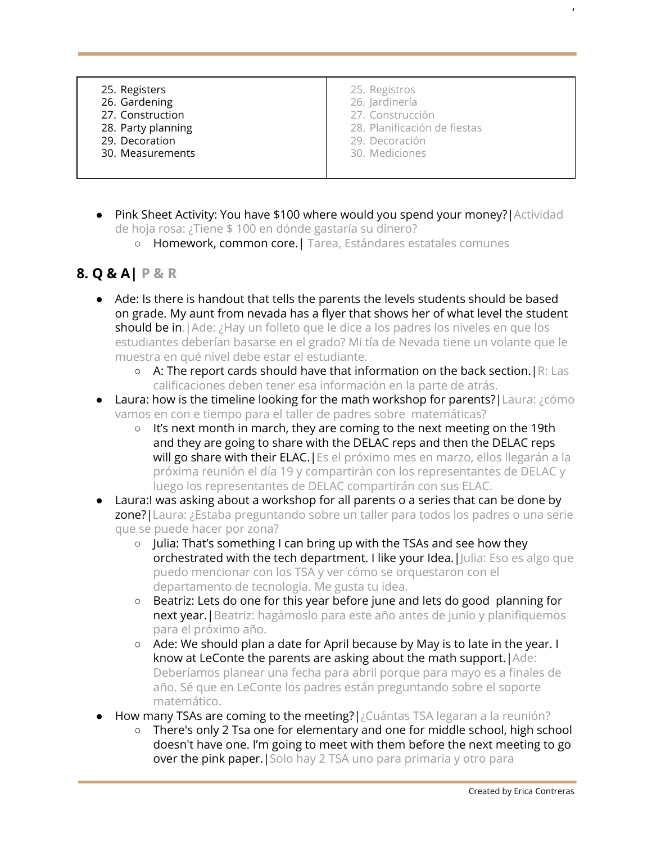| 25. Registers<br>26. Gardening<br>27. Construction<br>28. Party planning<br>29. Decoration<br>30. Measurements | 25. Registros<br>26. Jardinería<br>27. Construcción<br>28. Planificación de fiestas<br>29. Decoración<br>30. Mediciones |
|----------------------------------------------------------------------------------------------------------------|-------------------------------------------------------------------------------------------------------------------------|
|                                                                                                                |                                                                                                                         |

- Pink Sheet Activity: You have \$100 where would you spend your money? | Actividad de hoja rosa: ¿Tiene \$ 100 en dónde gastaría su dinero?
	- Homework, common core.| Tarea, Estándares estatales comunes

### **8. Q & A| P & R**

- Ade: Is there is handout that tells the parents the levels students should be based on grade. My aunt from nevada has a flyer that shows her of what level the student should be in.|Ade: ¿Hay un folleto que le dice a los padres los niveles en que los estudiantes deberían basarse en el grado? Mi tía de Nevada tiene un volante que le muestra en qué nivel debe estar el estudiante.
	- A: The report cards should have that information on the back section.|R: Las calificaciones deben tener esa información en la parte de atrás.
- Laura: how is the timeline looking for the math workshop for parents?|Laura: ¿cómo vamos en con e tiempo para el taller de padres sobre matemáticas?
	- It's next month in march, they are coming to the next meeting on the 19th and they are going to share with the DELAC reps and then the DELAC reps will go share with their ELAC. | Es el próximo mes en marzo, ellos llegarán a la próxima reunión el día 19 y compartirán con los representantes de DELAC y luego los representantes de DELAC compartirán con sus ELAC.
- Laura:I was asking about a workshop for all parents o a series that can be done by zone?|Laura: ¿Estaba preguntando sobre un taller para todos los padres o una serie que se puede hacer por zona?
	- Julia: That's something I can bring up with the TSAs and see how they orchestrated with the tech department. I like your Idea. | Julia: Eso es algo que puedo mencionar con los TSA y ver cómo se orquestaron con el departamento de tecnología. Me gusta tu idea.
	- Beatriz: Lets do one for this year before june and lets do good planning for next year. | Beatriz: hagámoslo para este año antes de junio y planifiquemos para el próximo año.
	- Ade: We should plan a date for April because by May is to late in the year. I know at LeConte the parents are asking about the math support. | Ade: Deberíamos planear una fecha para abril porque para mayo es a finales de año. Sé que en LeConte los padres están preguntando sobre el soporte matemático.
- How many TSAs are coming to the meeting?|¿Cuántas TSA legaran a la reunión?
	- There's only 2 Tsa one for elementary and one for middle school, high school doesn't have one. I'm going to meet with them before the next meeting to go over the pink paper. Solo hay 2 TSA uno para primaria y otro para